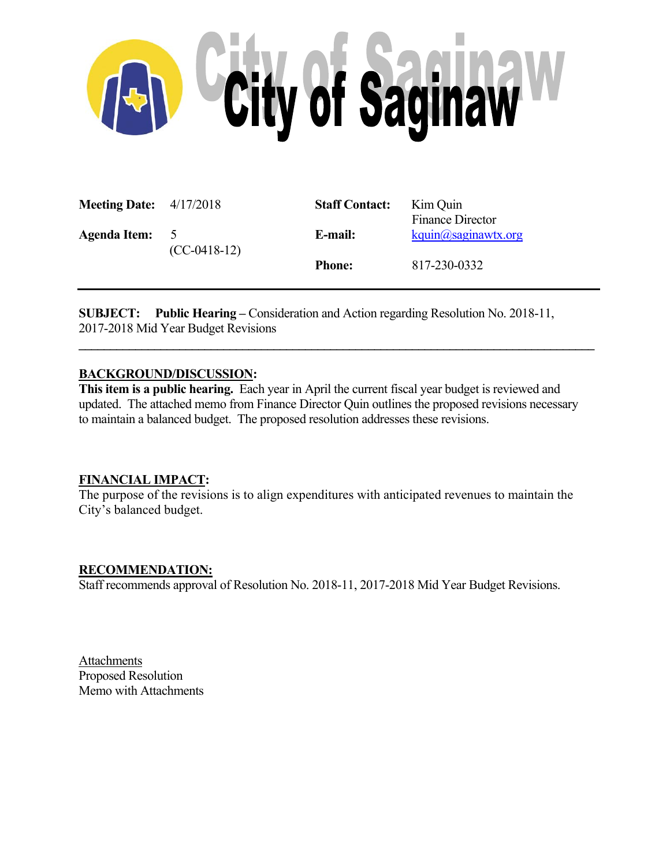

| <b>Meeting Date:</b> $4/17/2018$ |                     | <b>Staff Contact:</b> | Kim Quin<br><b>Finance Director</b> |
|----------------------------------|---------------------|-----------------------|-------------------------------------|
| <b>Agenda Item:</b>              | 5<br>$(CC-0418-12)$ | E-mail:               | kquin@saginawtx.org                 |
|                                  |                     | <b>Phone:</b>         | 817-230-0332                        |

**SUBJECT:** Public Hearing – Consideration and Action regarding Resolution No. 2018-11, 2017-2018 Mid Year Budget Revisions

## **BACKGROUND/DISCUSSION:**

**This item is a public hearing.** Each year in April the current fiscal year budget is reviewed and updated. The attached memo from Finance Director Quin outlines the proposed revisions necessary to maintain a balanced budget. The proposed resolution addresses these revisions.

 $\mathcal{L} = \{ \mathcal{L} \mathcal{L} \mathcal{L} \mathcal{L} \mathcal{L} \mathcal{L} \mathcal{L} \mathcal{L} \mathcal{L} \mathcal{L} \mathcal{L} \mathcal{L} \mathcal{L} \mathcal{L} \mathcal{L} \mathcal{L} \mathcal{L} \mathcal{L} \mathcal{L} \mathcal{L} \mathcal{L} \mathcal{L} \mathcal{L} \mathcal{L} \mathcal{L} \mathcal{L} \mathcal{L} \mathcal{L} \mathcal{L} \mathcal{L} \mathcal{L} \mathcal{L} \mathcal{L} \mathcal{L} \mathcal{L} \$ 

### **FINANCIAL IMPACT:**

The purpose of the revisions is to align expenditures with anticipated revenues to maintain the City's balanced budget.

### **RECOMMENDATION:**

Staff recommends approval of Resolution No. 2018-11, 2017-2018 Mid Year Budget Revisions.

**Attachments** Proposed Resolution Memo with Attachments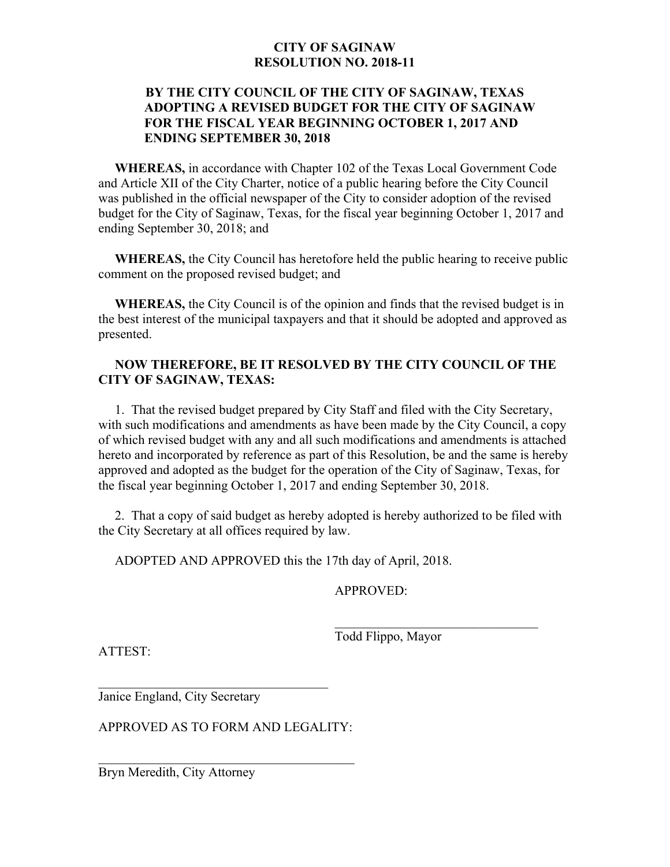## **CITY OF SAGINAW RESOLUTION NO. 2018-11**

## **BY THE CITY COUNCIL OF THE CITY OF SAGINAW, TEXAS ADOPTING A REVISED BUDGET FOR THE CITY OF SAGINAW FOR THE FISCAL YEAR BEGINNING OCTOBER 1, 2017 AND ENDING SEPTEMBER 30, 2018**

 **WHEREAS,** in accordance with Chapter 102 of the Texas Local Government Code and Article XII of the City Charter, notice of a public hearing before the City Council was published in the official newspaper of the City to consider adoption of the revised budget for the City of Saginaw, Texas, for the fiscal year beginning October 1, 2017 and ending September 30, 2018; and

 **WHEREAS,** the City Council has heretofore held the public hearing to receive public comment on the proposed revised budget; and

 **WHEREAS,** the City Council is of the opinion and finds that the revised budget is in the best interest of the municipal taxpayers and that it should be adopted and approved as presented.

## **NOW THEREFORE, BE IT RESOLVED BY THE CITY COUNCIL OF THE CITY OF SAGINAW, TEXAS:**

 1. That the revised budget prepared by City Staff and filed with the City Secretary, with such modifications and amendments as have been made by the City Council, a copy of which revised budget with any and all such modifications and amendments is attached hereto and incorporated by reference as part of this Resolution, be and the same is hereby approved and adopted as the budget for the operation of the City of Saginaw, Texas, for the fiscal year beginning October 1, 2017 and ending September 30, 2018.

 2. That a copy of said budget as hereby adopted is hereby authorized to be filed with the City Secretary at all offices required by law.

ADOPTED AND APPROVED this the 17th day of April, 2018.

APPROVED:

ATTEST:

Todd Flippo, Mayor

Janice England, City Secretary

APPROVED AS TO FORM AND LEGALITY:

Bryn Meredith, City Attorney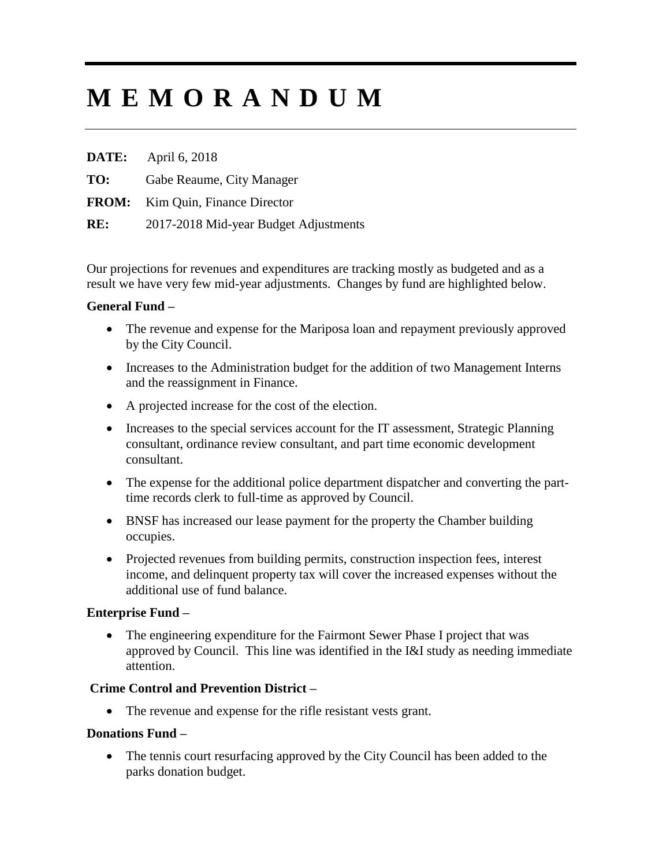# **M E M O R A N D U M**

**DATE:** April 6, 2018 **TO:** Gabe Reaume, City Manager **FROM:** Kim Quin, Finance Director **RE:** 2017-2018 Mid-year Budget Adjustments

Our projections for revenues and expenditures are tracking mostly as budgeted and as a result we have very few mid-year adjustments. Changes by fund are highlighted below.

### **General Fund –**

- The revenue and expense for the Mariposa loan and repayment previously approved by the City Council.
- Increases to the Administration budget for the addition of two Management Interns and the reassignment in Finance.
- A projected increase for the cost of the election.
- Increases to the special services account for the IT assessment, Strategic Planning consultant, ordinance review consultant, and part time economic development consultant.
- The expense for the additional police department dispatcher and converting the parttime records clerk to full-time as approved by Council.
- BNSF has increased our lease payment for the property the Chamber building occupies.
- Projected revenues from building permits, construction inspection fees, interest income, and delinquent property tax will cover the increased expenses without the additional use of fund balance.

# **Enterprise Fund –**

• The engineering expenditure for the Fairmont Sewer Phase I project that was approved by Council. This line was identified in the I&I study as needing immediate attention.

# **Crime Control and Prevention District –**

• The revenue and expense for the rifle resistant vests grant.

# **Donations Fund –**

• The tennis court resurfacing approved by the City Council has been added to the parks donation budget.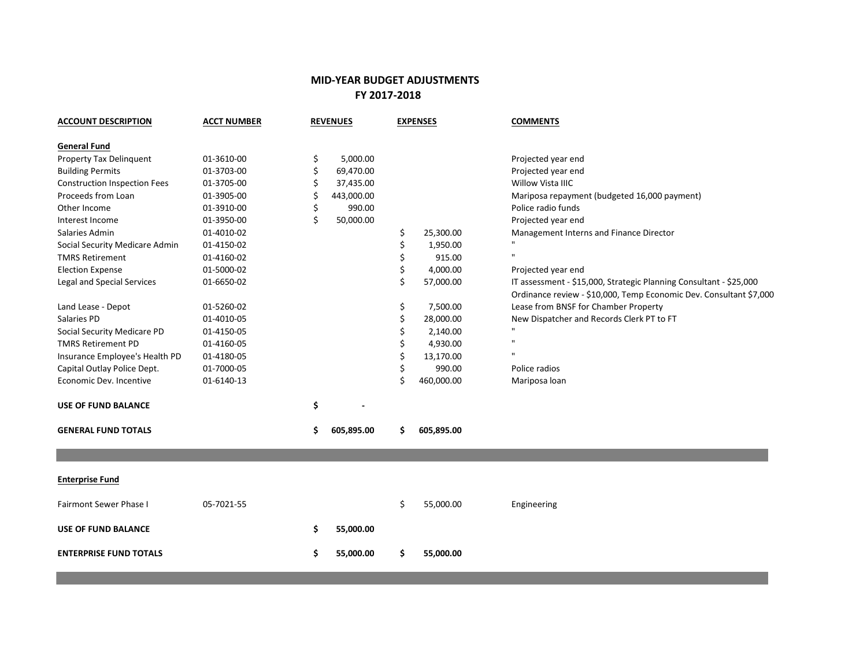## **MID-YEAR BUDGET ADJUSTMENTS FY 2017-2018**

|            |    |            |     | <b>EXPENSES</b> | <b>COMMENTS</b>                                                    |
|------------|----|------------|-----|-----------------|--------------------------------------------------------------------|
|            |    |            |     |                 |                                                                    |
| 01-3610-00 | \$ | 5,000.00   |     |                 | Projected year end                                                 |
| 01-3703-00 | \$ | 69,470.00  |     |                 | Projected year end                                                 |
| 01-3705-00 | Ś  | 37,435.00  |     |                 | Willow Vista IIIC                                                  |
| 01-3905-00 | Ś  | 443,000.00 |     |                 | Mariposa repayment (budgeted 16,000 payment)                       |
| 01-3910-00 | \$ | 990.00     |     |                 | Police radio funds                                                 |
| 01-3950-00 | \$ | 50,000.00  |     |                 | Projected year end                                                 |
| 01-4010-02 |    |            | \$  | 25,300.00       | Management Interns and Finance Director                            |
| 01-4150-02 |    |            | \$  | 1,950.00        |                                                                    |
| 01-4160-02 |    |            | \$  | 915.00          |                                                                    |
| 01-5000-02 |    |            | \$  | 4,000.00        | Projected year end                                                 |
| 01-6650-02 |    |            | \$  | 57,000.00       | IT assessment - \$15,000, Strategic Planning Consultant - \$25,000 |
|            |    |            |     |                 | Ordinance review - \$10,000, Temp Economic Dev. Consultant \$7,000 |
| 01-5260-02 |    |            | \$  | 7,500.00        | Lease from BNSF for Chamber Property                               |
| 01-4010-05 |    |            | \$  | 28,000.00       | New Dispatcher and Records Clerk PT to FT                          |
| 01-4150-05 |    |            | \$  | 2,140.00        | $\mathbf{u}$                                                       |
| 01-4160-05 |    |            | \$  | 4,930.00        | $\mathbf{u}$                                                       |
| 01-4180-05 |    |            | \$  | 13,170.00       |                                                                    |
| 01-7000-05 |    |            | \$  | 990.00          | Police radios                                                      |
| 01-6140-13 |    |            |     | 460,000.00      | Mariposa loan                                                      |
|            | \$ |            |     |                 |                                                                    |
|            | \$ | 605,895.00 | \$  | 605,895.00      |                                                                    |
|            |    |            |     |                 |                                                                    |
|            |    |            |     |                 |                                                                    |
| 05-7021-55 |    |            | \$  | 55,000.00       | Engineering                                                        |
|            | \$ | 55,000.00  |     |                 |                                                                    |
|            | \$ | 55,000.00  | \$. | 55,000.00       |                                                                    |
|            |    |            |     |                 |                                                                    |